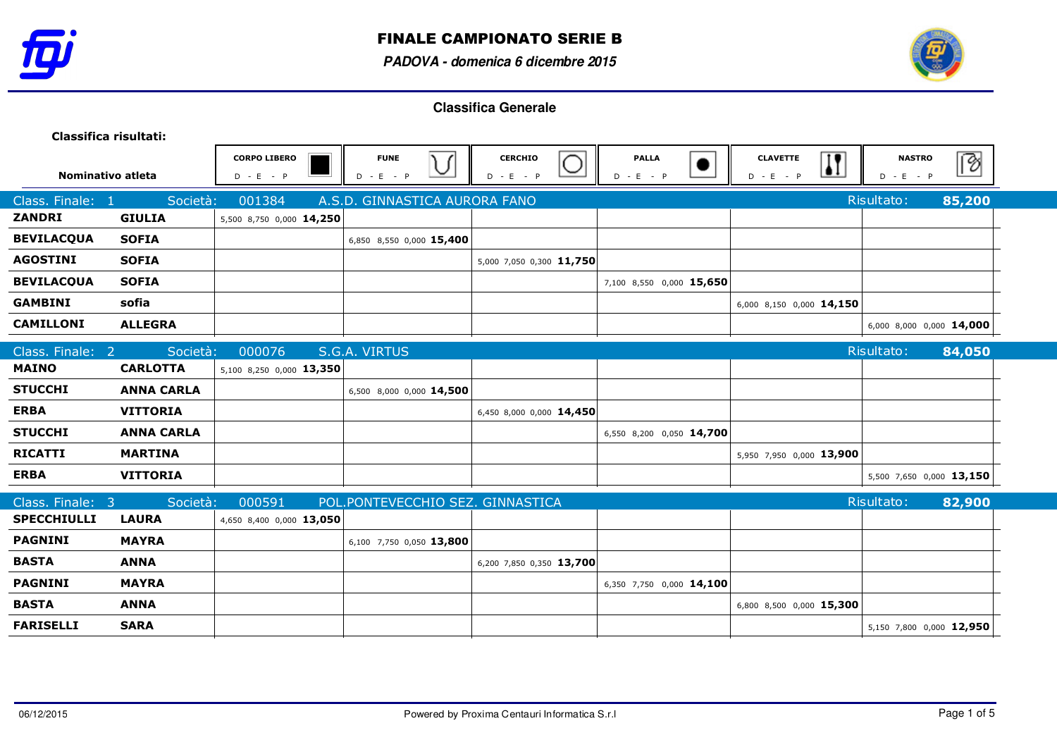



| Classifica risultati: |                   |                                    |                                  |                               |                               |                                            |                              |        |
|-----------------------|-------------------|------------------------------------|----------------------------------|-------------------------------|-------------------------------|--------------------------------------------|------------------------------|--------|
| Nominativo atleta     |                   | <b>CORPO LIBERO</b><br>$D - E - P$ | <b>FUNE</b><br>V<br>$D - E - P$  | <b>CERCHIO</b><br>$D - E - P$ | <b>PALLA</b><br>D<br>$-E - P$ | $\bf{K}$<br><b>CLAVETTE</b><br>$D - E - P$ | <b>NASTRO</b><br>$D - E - P$ | छि     |
| Class. Finale: 1      | Società:          | 001384                             | A.S.D. GINNASTICA AURORA FANO    |                               |                               |                                            | Risultato:                   | 85,200 |
| <b>ZANDRI</b>         | <b>GIULIA</b>     | 5,500 8,750 0,000 14,250           |                                  |                               |                               |                                            |                              |        |
| <b>BEVILACQUA</b>     | <b>SOFIA</b>      |                                    | 6,850 8,550 0,000 15,400         |                               |                               |                                            |                              |        |
| <b>AGOSTINI</b>       | <b>SOFIA</b>      |                                    |                                  | 5,000 7,050 0,300 11,750      |                               |                                            |                              |        |
| <b>BEVILACOUA</b>     | <b>SOFIA</b>      |                                    |                                  |                               | 7,100 8,550 0,000 15,650      |                                            |                              |        |
| <b>GAMBINI</b>        | sofia             |                                    |                                  |                               |                               | 6,000 8,150 0,000 14,150                   |                              |        |
| <b>CAMILLONI</b>      | <b>ALLEGRA</b>    |                                    |                                  |                               |                               |                                            | 6,000 8,000 0,000 14,000     |        |
| Class. Finale: 2      | Società:          | 000076                             | S.G.A. VIRTUS                    |                               |                               |                                            | Risultato:                   | 84,050 |
| <b>MAINO</b>          | <b>CARLOTTA</b>   | 5,100 8,250 0,000 13,350           |                                  |                               |                               |                                            |                              |        |
| <b>STUCCHI</b>        | <b>ANNA CARLA</b> |                                    | 6,500 8,000 0,000 14,500         |                               |                               |                                            |                              |        |
| <b>ERBA</b>           | <b>VITTORIA</b>   |                                    |                                  | 6,450 8,000 0,000 14,450      |                               |                                            |                              |        |
| <b>STUCCHI</b>        | <b>ANNA CARLA</b> |                                    |                                  |                               | 6,550 8,200 0,050 14,700      |                                            |                              |        |
| <b>RICATTI</b>        | <b>MARTINA</b>    |                                    |                                  |                               |                               | 5,950 7,950 0,000 13,900                   |                              |        |
| <b>ERBA</b>           | <b>VITTORIA</b>   |                                    |                                  |                               |                               |                                            | 5,500 7,650 0,000 13,150     |        |
| Class. Finale: 3      | Società:          | 000591                             | POL.PONTEVECCHIO SEZ. GINNASTICA |                               |                               |                                            | Risultato:                   | 82,900 |
| <b>SPECCHIULLI</b>    | <b>LAURA</b>      | 4,650 8,400 0,000 13,050           |                                  |                               |                               |                                            |                              |        |
| <b>PAGNINI</b>        | <b>MAYRA</b>      |                                    | 6,100 7,750 0,050 13,800         |                               |                               |                                            |                              |        |
| <b>BASTA</b>          | <b>ANNA</b>       |                                    |                                  | 6,200 7,850 0,350 13,700      |                               |                                            |                              |        |
| <b>PAGNINI</b>        | <b>MAYRA</b>      |                                    |                                  |                               | 6,350 7,750 0,000 14,100      |                                            |                              |        |
| <b>BASTA</b>          | <b>ANNA</b>       |                                    |                                  |                               |                               | 6,800 8,500 0,000 15,300                   |                              |        |
| <b>FARISELLI</b>      | <b>SARA</b>       |                                    |                                  |                               |                               |                                            | 5,150 7,800 0,000 12,950     |        |
|                       |                   |                                    |                                  |                               |                               |                                            |                              |        |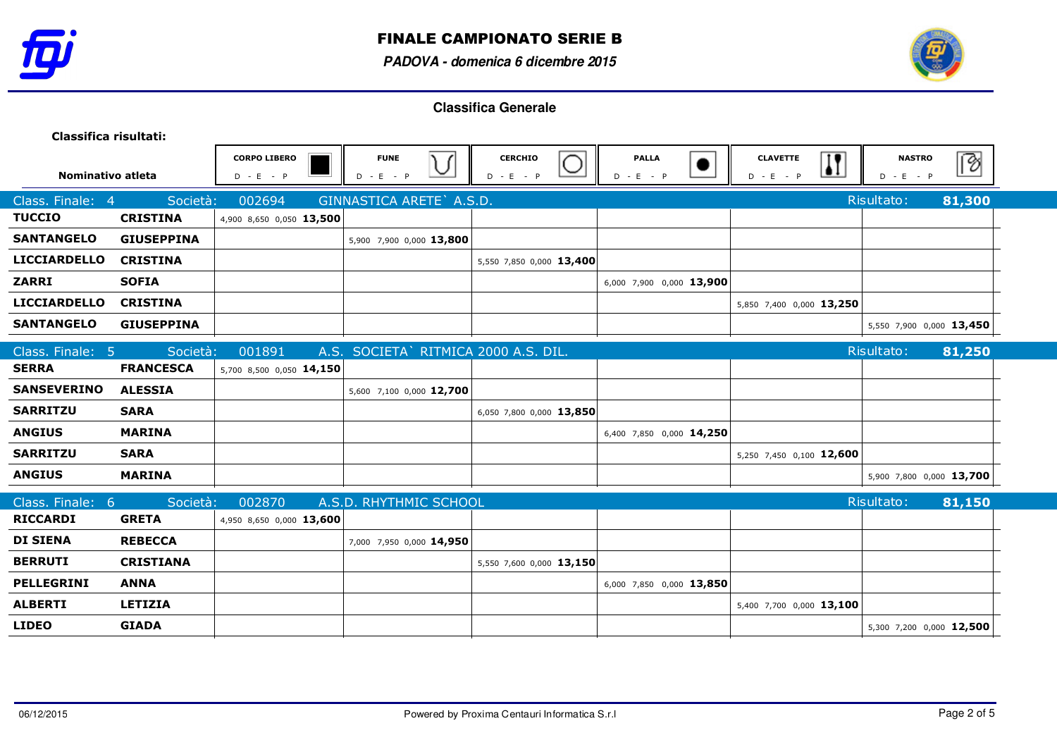



| Classifica risultati: |                   |                                    |                                       |                               |                             |                                            |                              |        |
|-----------------------|-------------------|------------------------------------|---------------------------------------|-------------------------------|-----------------------------|--------------------------------------------|------------------------------|--------|
| Nominativo atleta     |                   | <b>CORPO LIBERO</b><br>$D - E - P$ | <b>FUNE</b><br>$D - E - P$            | <b>CERCHIO</b><br>$D - E - P$ | <b>PALLA</b><br>$D - E - P$ | $\bf{I}$<br><b>CLAVETTE</b><br>$D - E - P$ | <b>NASTRO</b><br>$D - E - P$ | B      |
| Class. Finale: 4      | Società:          | 002694                             | GINNASTICA ARETE A.S.D.               |                               |                             |                                            | Risultato:                   | 81,300 |
| <b>TUCCIO</b>         | <b>CRISTINA</b>   | 4,900 8,650 0,050 13,500           |                                       |                               |                             |                                            |                              |        |
| <b>SANTANGELO</b>     | <b>GIUSEPPINA</b> |                                    | 5,900 7,900 0,000 13,800              |                               |                             |                                            |                              |        |
| <b>LICCIARDELLO</b>   | <b>CRISTINA</b>   |                                    |                                       | 5,550 7,850 0,000 13,400      |                             |                                            |                              |        |
| <b>ZARRI</b>          | <b>SOFIA</b>      |                                    |                                       |                               | 6,000 7,900 0,000 13,900    |                                            |                              |        |
| <b>LICCIARDELLO</b>   | <b>CRISTINA</b>   |                                    |                                       |                               |                             | 5,850 7,400 0,000 13,250                   |                              |        |
| <b>SANTANGELO</b>     | <b>GIUSEPPINA</b> |                                    |                                       |                               |                             |                                            | 5,550 7,900 0,000 13,450     |        |
| Class. Finale: 5      | Società:          | 001891                             | A.S. SOCIETA ` RITMICA 2000 A.S. DIL. |                               |                             |                                            | Risultato:                   | 81,250 |
| <b>SERRA</b>          | <b>FRANCESCA</b>  | 5,700 8,500 0,050 14,150           |                                       |                               |                             |                                            |                              |        |
| <b>SANSEVERINO</b>    | <b>ALESSIA</b>    |                                    | 5,600 7,100 0,000 12,700              |                               |                             |                                            |                              |        |
| <b>SARRITZU</b>       | <b>SARA</b>       |                                    |                                       | 6,050 7,800 0,000 13,850      |                             |                                            |                              |        |
| <b>ANGIUS</b>         | <b>MARINA</b>     |                                    |                                       |                               | 6,400 7,850 0,000 14,250    |                                            |                              |        |
| <b>SARRITZU</b>       | <b>SARA</b>       |                                    |                                       |                               |                             | 5,250 7,450 0,100 12,600                   |                              |        |
| <b>ANGIUS</b>         | <b>MARINA</b>     |                                    |                                       |                               |                             |                                            | 5,900 7,800 0,000 13,700     |        |
| Class. Finale: 6      | Società:          | 002870                             | A.S.D. RHYTHMIC SCHOOL                |                               |                             |                                            | Risultato:                   | 81,150 |
| <b>RICCARDI</b>       | <b>GRETA</b>      | 4,950 8,650 0,000 13,600           |                                       |                               |                             |                                            |                              |        |
| <b>DI SIENA</b>       | <b>REBECCA</b>    |                                    | 7,000 7,950 0,000 14,950              |                               |                             |                                            |                              |        |
| <b>BERRUTI</b>        | <b>CRISTIANA</b>  |                                    |                                       | 5,550 7,600 0,000 13,150      |                             |                                            |                              |        |
| PELLEGRINI            | <b>ANNA</b>       |                                    |                                       |                               | 6,000 7,850 0,000 13,850    |                                            |                              |        |
| <b>ALBERTI</b>        | <b>LETIZIA</b>    |                                    |                                       |                               |                             | 5,400 7,700 0,000 13,100                   |                              |        |
| <b>LIDEO</b>          | <b>GIADA</b>      |                                    |                                       |                               |                             |                                            | 5,300 7,200 0,000 12,500     |        |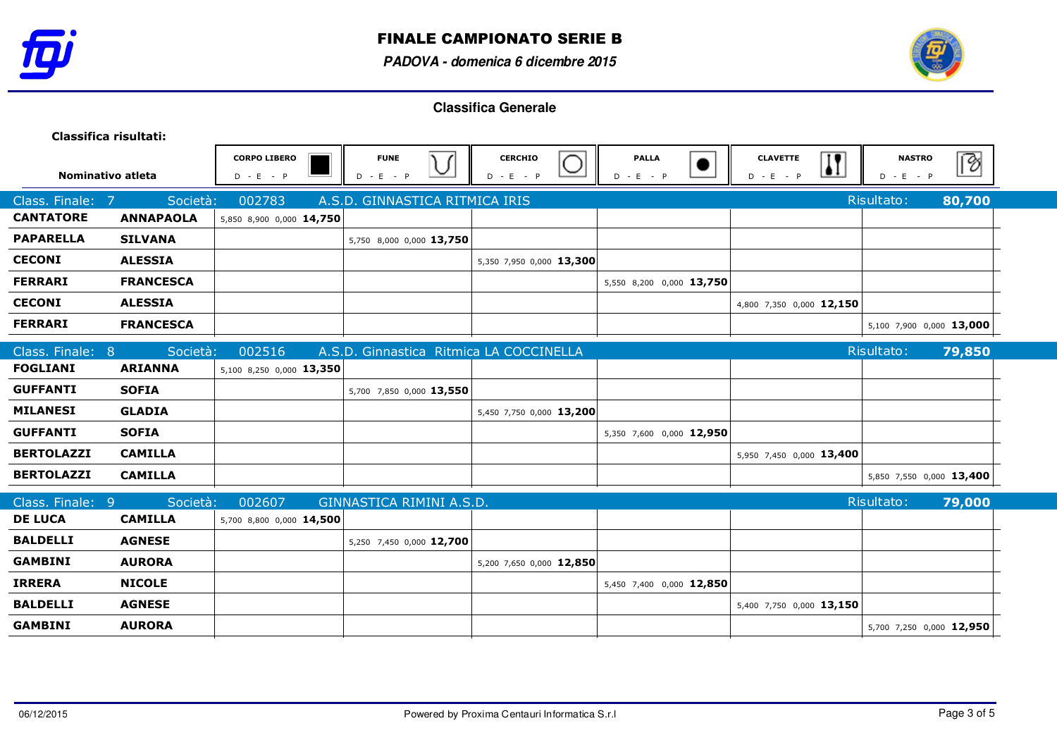



| Classifica risultati: |                  |                                    |                                         |                               |                             |                                                           |                              |        |
|-----------------------|------------------|------------------------------------|-----------------------------------------|-------------------------------|-----------------------------|-----------------------------------------------------------|------------------------------|--------|
| Nominativo atleta     |                  | <b>CORPO LIBERO</b><br>$D - E - P$ | <b>FUNE</b><br>) (<br>$D - E - P$       | <b>CERCHIO</b><br>$D - E - P$ | <b>PALLA</b><br>$D - E - P$ | $\overline{\mathbf{H}}$<br><b>CLAVETTE</b><br>$D - E - P$ | <b>NASTRO</b><br>$D - E - P$ | B      |
| Class. Finale: 7      | Società:         | 002783                             | A.S.D. GINNASTICA RITMICA IRIS          |                               |                             |                                                           | Risultato:                   | 80,700 |
| <b>CANTATORE</b>      | <b>ANNAPAOLA</b> | 5,850 8,900 0,000 14,750           |                                         |                               |                             |                                                           |                              |        |
| <b>PAPARELLA</b>      | <b>SILVANA</b>   |                                    | 5,750 8,000 0,000 13,750                |                               |                             |                                                           |                              |        |
| <b>CECONI</b>         | <b>ALESSIA</b>   |                                    |                                         | 5,350 7,950 0,000 13,300      |                             |                                                           |                              |        |
| <b>FERRARI</b>        | <b>FRANCESCA</b> |                                    |                                         |                               | 5,550 8,200 0,000 13,750    |                                                           |                              |        |
| <b>CECONI</b>         | <b>ALESSIA</b>   |                                    |                                         |                               |                             | 4,800 7,350 0,000 12,150                                  |                              |        |
| <b>FERRARI</b>        | <b>FRANCESCA</b> |                                    |                                         |                               |                             |                                                           | 5,100 7,900 0,000 13,000     |        |
| Class. Finale: 8      | Società:         | 002516                             | A.S.D. Ginnastica Ritmica LA COCCINELLA |                               |                             |                                                           | Risultato:                   | 79,850 |
| <b>FOGLIANI</b>       | <b>ARIANNA</b>   | 5,100 8,250 0,000 13,350           |                                         |                               |                             |                                                           |                              |        |
| <b>GUFFANTI</b>       | <b>SOFIA</b>     |                                    | 5,700 7,850 0,000 13,550                |                               |                             |                                                           |                              |        |
| <b>MILANESI</b>       | <b>GLADIA</b>    |                                    |                                         | 5,450 7,750 0,000 13,200      |                             |                                                           |                              |        |
| <b>GUFFANTI</b>       | <b>SOFIA</b>     |                                    |                                         |                               | 5,350 7,600 0,000 12,950    |                                                           |                              |        |
| <b>BERTOLAZZI</b>     | <b>CAMILLA</b>   |                                    |                                         |                               |                             | 5,950 7,450 0,000 13,400                                  |                              |        |
| <b>BERTOLAZZI</b>     | <b>CAMILLA</b>   |                                    |                                         |                               |                             |                                                           | 5,850 7,550 0,000 13,400     |        |
| Class. Finale: 9      | Società:         | 002607                             | GINNASTICA RIMINI A.S.D.                |                               |                             |                                                           | Risultato:                   | 79,000 |
| <b>DE LUCA</b>        | <b>CAMILLA</b>   | 5,700 8,800 0,000 14,500           |                                         |                               |                             |                                                           |                              |        |
| <b>BALDELLI</b>       | <b>AGNESE</b>    |                                    | 5,250 7,450 0,000 12,700                |                               |                             |                                                           |                              |        |
| <b>GAMBINI</b>        | <b>AURORA</b>    |                                    |                                         | 5,200 7,650 0,000 12,850      |                             |                                                           |                              |        |
| <b>IRRERA</b>         | <b>NICOLE</b>    |                                    |                                         |                               | 5,450 7,400 0,000 12,850    |                                                           |                              |        |
| <b>BALDELLI</b>       | <b>AGNESE</b>    |                                    |                                         |                               |                             | 5,400 7,750 0,000 13,150                                  |                              |        |
| <b>GAMBINI</b>        | <b>AURORA</b>    |                                    |                                         |                               |                             |                                                           | 5,700 7,250 0,000 12,950     |        |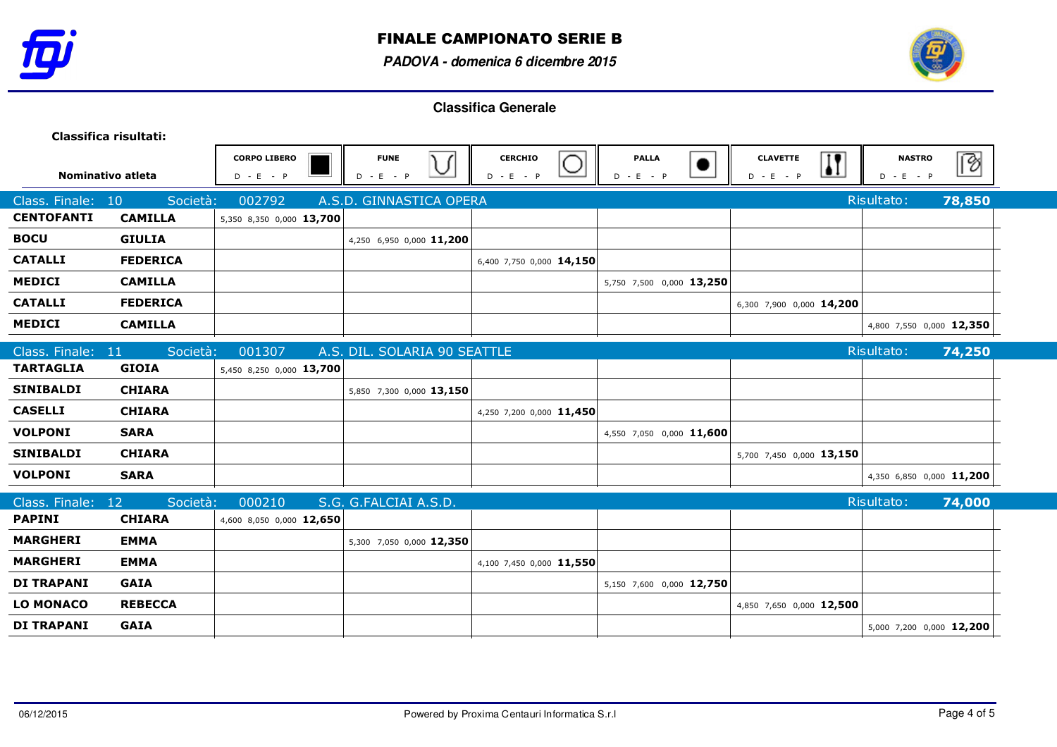



|                   | Classifica risultati: |                                    |                              |                               |                                          |                                                |                              |          |
|-------------------|-----------------------|------------------------------------|------------------------------|-------------------------------|------------------------------------------|------------------------------------------------|------------------------------|----------|
| Nominativo atleta |                       | <b>CORPO LIBERO</b><br>$D - E - P$ | <b>FUNE</b><br>$D - E - P$   | <b>CERCHIO</b><br>$D - E - P$ | <b>PALLA</b><br>$\bullet$<br>$D - E - P$ | $\mathbf{H}$<br><b>CLAVETTE</b><br>$D - E - P$ | <b>NASTRO</b><br>$D - E - P$ | <u>B</u> |
| Class. Finale:    | 10<br>Società:        | 002792                             | A.S.D. GINNASTICA OPERA      |                               |                                          |                                                | Risultato:                   | 78,850   |
| <b>CENTOFANTI</b> | <b>CAMILLA</b>        | 5,350 8,350 0,000 13,700           |                              |                               |                                          |                                                |                              |          |
| <b>BOCU</b>       | <b>GIULIA</b>         |                                    | 4,250 6,950 0,000 11,200     |                               |                                          |                                                |                              |          |
| <b>CATALLI</b>    | <b>FEDERICA</b>       |                                    |                              | 6,400 7,750 0,000 14,150      |                                          |                                                |                              |          |
| <b>MEDICI</b>     | <b>CAMILLA</b>        |                                    |                              |                               | 5,750 7,500 0,000 13,250                 |                                                |                              |          |
| <b>CATALLI</b>    | <b>FEDERICA</b>       |                                    |                              |                               |                                          | 6,300 7,900 0,000 14,200                       |                              |          |
| <b>MEDICI</b>     | <b>CAMILLA</b>        |                                    |                              |                               |                                          |                                                | 4,800 7,550 0,000 12,350     |          |
| Class. Finale: 11 | Società:              | 001307                             | A.S. DIL. SOLARIA 90 SEATTLE |                               |                                          |                                                | Risultato:                   | 74,250   |
| <b>TARTAGLIA</b>  | <b>GIOIA</b>          | 5,450 8,250 0,000 13,700           |                              |                               |                                          |                                                |                              |          |
| <b>SINIBALDI</b>  | <b>CHIARA</b>         |                                    | 5,850 7,300 0,000 13,150     |                               |                                          |                                                |                              |          |
| <b>CASELLI</b>    | <b>CHIARA</b>         |                                    |                              | 4,250 7,200 0,000 11,450      |                                          |                                                |                              |          |
| <b>VOLPONI</b>    | <b>SARA</b>           |                                    |                              |                               | 4,550 7,050 0,000 11,600                 |                                                |                              |          |
| <b>SINIBALDI</b>  | <b>CHIARA</b>         |                                    |                              |                               |                                          | 5,700 7,450 0,000 13,150                       |                              |          |
| <b>VOLPONI</b>    | <b>SARA</b>           |                                    |                              |                               |                                          |                                                | 4,350 6,850 0,000 11,200     |          |
| Class. Finale: 12 | Società:              | 000210                             | S.G. G.FALCIAI A.S.D.        |                               |                                          |                                                | Risultato:                   | 74,000   |
| <b>PAPINI</b>     | <b>CHIARA</b>         | 4,600 8,050 0,000 12,650           |                              |                               |                                          |                                                |                              |          |
| <b>MARGHERI</b>   | <b>EMMA</b>           |                                    | 5,300 7,050 0,000 12,350     |                               |                                          |                                                |                              |          |
| <b>MARGHERI</b>   | <b>EMMA</b>           |                                    |                              | 4,100 7,450 0,000 11,550      |                                          |                                                |                              |          |
| <b>DI TRAPANI</b> | <b>GAIA</b>           |                                    |                              |                               | 5,150 7,600 0,000 12,750                 |                                                |                              |          |
| <b>LO MONACO</b>  | <b>REBECCA</b>        |                                    |                              |                               |                                          | 4,850 7,650 0,000 12,500                       |                              |          |
| <b>DI TRAPANI</b> | <b>GAIA</b>           |                                    |                              |                               |                                          |                                                | 5,000 7,200 0,000 12,200     |          |